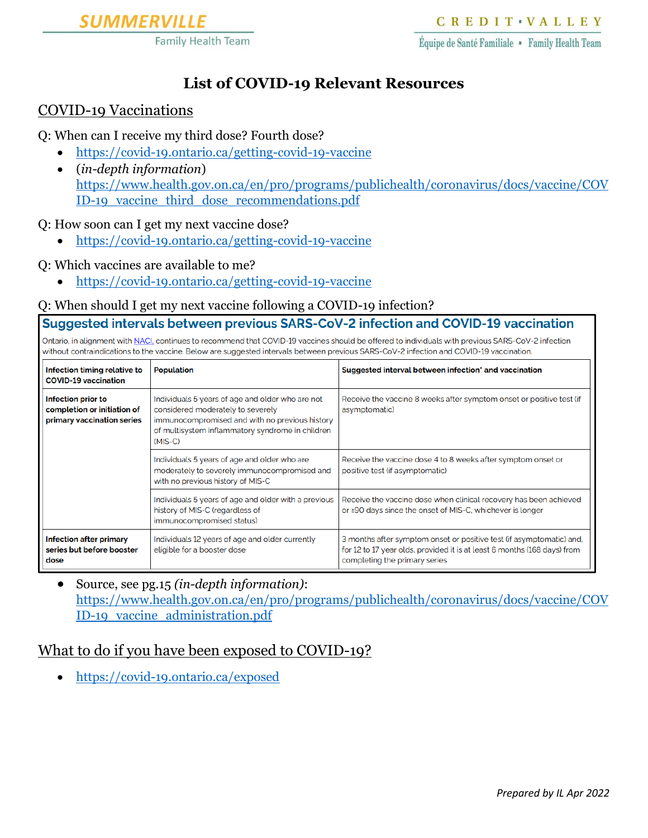

# **List of COVID-19 Relevant Resources**

#### COVID-19 Vaccinations

Q: When can I receive my third dose? Fourth dose?

- <https://covid-19.ontario.ca/getting-covid-19-vaccine>
- (*in-depth information*) [https://www.health.gov.on.ca/en/pro/programs/publichealth/coronavirus/docs/vaccine/COV](https://www.health.gov.on.ca/en/pro/programs/publichealth/coronavirus/docs/vaccine/COVID-19_vaccine_third_dose_recommendations.pdf) [ID-19\\_vaccine\\_third\\_dose\\_recommendations.pdf](https://www.health.gov.on.ca/en/pro/programs/publichealth/coronavirus/docs/vaccine/COVID-19_vaccine_third_dose_recommendations.pdf)

Q: How soon can I get my next vaccine dose?

- <https://covid-19.ontario.ca/getting-covid-19-vaccine>
- Q: Which vaccines are available to me?
	- <https://covid-19.ontario.ca/getting-covid-19-vaccine>

#### Q: When should I get my next vaccine following a COVID-19 infection?

Suggested intervals between previous SARS-CoV-2 infection and COVID-19 vaccination

Ontario, in alignment with NACI, continues to recommend that COVID-19 vaccines should be offered to individuals with previous SARS-CoV-2 infection without contraindications to the vaccine. Below are suggested intervals between previous SARS-CoV-2 infection and COVID-19 vaccination

| Infection timing relative to<br><b>COVID-19 vaccination</b>                     | <b>Population</b>                                                                                                                                                                                        | Suggested interval between infection' and vaccination                                                                                                                             |
|---------------------------------------------------------------------------------|----------------------------------------------------------------------------------------------------------------------------------------------------------------------------------------------------------|-----------------------------------------------------------------------------------------------------------------------------------------------------------------------------------|
| Infection prior to<br>completion or initiation of<br>primary vaccination series | Individuals 5 years of age and older who are not<br>considered moderately to severely<br>immunocompromised and with no previous history<br>of multisystem inflammatory syndrome in children<br>$(MIS-C)$ | Receive the vaccine 8 weeks after symptom onset or positive test (if<br>asymptomatic)                                                                                             |
|                                                                                 | Individuals 5 years of age and older who are<br>moderately to severely immunocompromised and<br>with no previous history of MIS-C                                                                        | Receive the vaccine dose 4 to 8 weeks after symptom onset or<br>positive test (if asymptomatic)                                                                                   |
|                                                                                 | Individuals 5 years of age and older with a previous<br>history of MIS-C (regardless of<br>immunocompromised status)                                                                                     | Receive the vaccine dose when clinical recovery has been achieved<br>or ≥90 days since the onset of MIS-C, whichever is longer                                                    |
| <b>Infection after primary</b><br>series but before booster<br>dose             | Individuals 12 years of age and older currently<br>eligible for a booster dose                                                                                                                           | 3 months after symptom onset or positive test (if asymptomatic) and,<br>for 12 to 17 year olds, provided it is at least 6 months (168 days) from<br>completing the primary series |

• Source, see pg.15 *(in-depth information)*: [https://www.health.gov.on.ca/en/pro/programs/publichealth/coronavirus/docs/vaccine/COV](https://www.health.gov.on.ca/en/pro/programs/publichealth/coronavirus/docs/vaccine/COVID-19_vaccine_administration.pdf) [ID-19\\_vaccine\\_administration.pdf](https://www.health.gov.on.ca/en/pro/programs/publichealth/coronavirus/docs/vaccine/COVID-19_vaccine_administration.pdf)

## What to do if you have been exposed to COVID-19?

• <https://covid-19.ontario.ca/exposed>